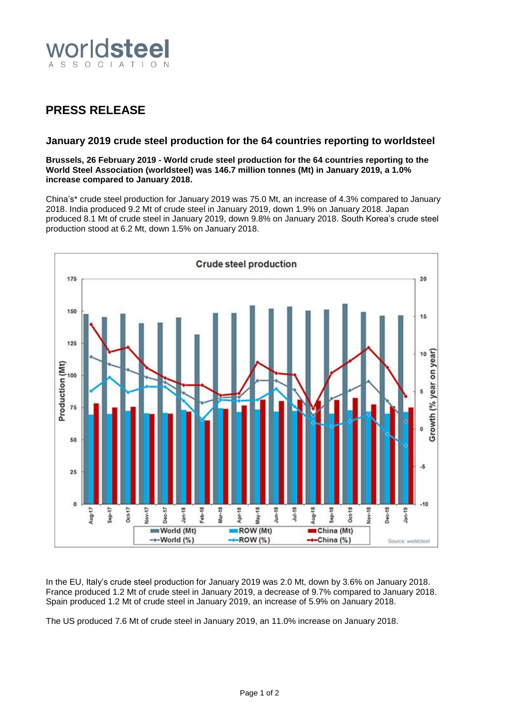

## **PRESS RELEASE**

## **January 2019 crude steel production for the 64 countries reporting to worldsteel**

**Brussels, 26 February 2019 - World crude steel production for the 64 countries reporting to the World Steel Association (worldsteel) was 146.7 million tonnes (Mt) in January 2019, a 1.0% increase compared to January 2018.**

China's\* crude steel production for January 2019 was 75.0 Mt, an increase of 4.3% compared to January 2018. India produced 9.2 Mt of crude steel in January 2019, down 1.9% on January 2018. Japan produced 8.1 Mt of crude steel in January 2019, down 9.8% on January 2018. South Korea's crude steel production stood at 6.2 Mt, down 1.5% on January 2018.



In the EU, Italy's crude steel production for January 2019 was 2.0 Mt, down by 3.6% on January 2018. France produced 1.2 Mt of crude steel in January 2019, a decrease of 9.7% compared to January 2018. Spain produced 1.2 Mt of crude steel in January 2019, an increase of 5.9% on January 2018.

The US produced 7.6 Mt of crude steel in January 2019, an 11.0% increase on January 2018.